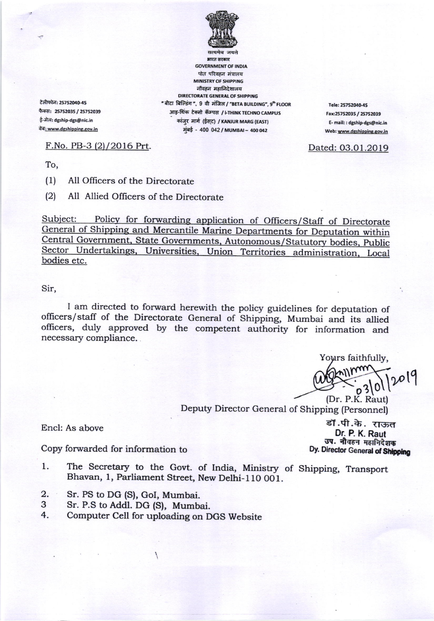

भारत सरकार **GOVERNMENT OF INDIA** पोत परिवहन मंत्रालय **MINISTRY OF SHIPPING** नौवहन महानिदेशालय DIRECTORATE GENERAL OF SHIPPING " बीटा बिल्डिंग", 9 वी मंजिल / "BETA BUILDING", 9th FLOOR आइ-थिक टेक्नो कॅम्पस / i-THINK TECHNO CAMPUS कांजुर मार्ग (ईस्ट) / KANJUR MARG (EAST) मुंबई - 400 042 / MUMBAI - 400 042

Tele: 25752040-45 Fax:25752035 / 25752039 E- mail: : dgship-dgs@nic.in Web: www.dgshipping.gov.in

Dated: 03.01.2019

टेलीफोन: 25752040-45 फैक्स: 25752035 / 25752039 ई-मेल: dgship-dgs@nic.in वेब: www.dgshipping.gov.in

F.No. PB-3 (2)/2016 Prt.

To,

 $(1)$ All Officers of the Directorate

 $(2)$ All Allied Officers of the Directorate

Subject: Policy for forwarding application of Officers/Staff of Directorate General of Shipping and Mercantile Marine Departments for Deputation within Central Government, State Governments, Autonomous/Statutory bodies, Public Sector Undertakings, Universities, Union Territories administration, Local bodies etc.

## Sir,

I am directed to forward herewith the policy guidelines for deputation of officers/staff of the Directorate General of Shipping, Mumbai and its allied officers, duly approved by the competent authority for information and necessary compliance.

Yours faithfully,

 $20^{o}$ 

(Dr. P.K. Raut) Deputy Director General of Shipping (Personnel)

Encl: As above

Copy forwarded for information to

The Secretary to the Govt. of India, Ministry of Shipping, Transport 1. Bhavan, 1, Parliament Street, New Delhi-110 001.

- $2.$ Sr. PS to DG (S), GoI, Mumbai.
- Sr. P.S to Addl. DG (S), Mumbai. 3
- $4.$ Computer Cell for uploading on DGS Website

डॉ.पी.के. राऊत Dr. P. K. Raut उप. नौवहन महानिदेशक Dy. Director General of Shipping